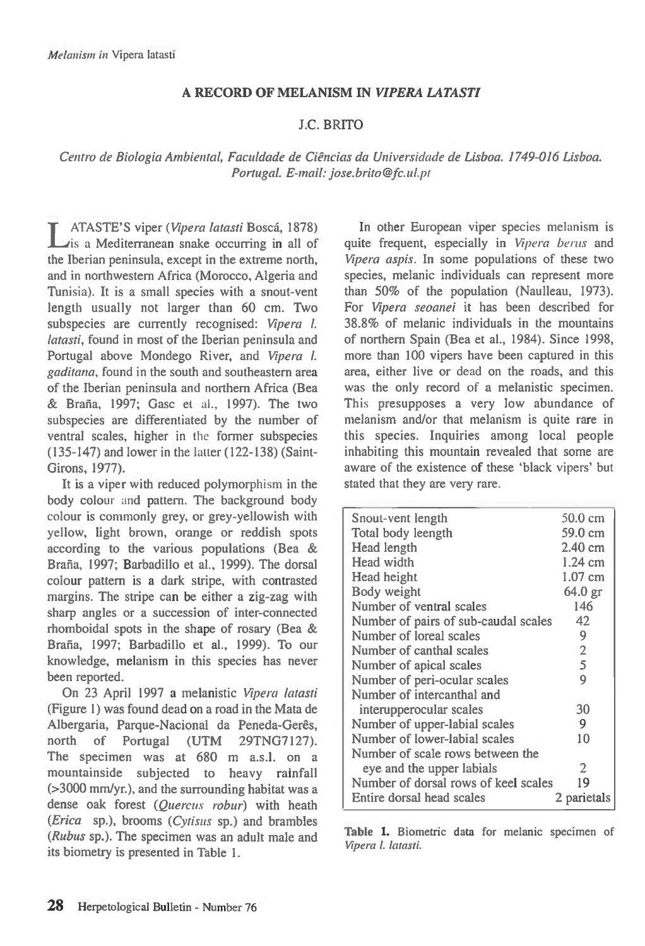## **A RECORD OF MELANISM** *IN VIPERA LATASTI*

## J.C. BRITO

*Centro de Biologic Ambiental, Faculdade de Ciencias da Universidade de Lisboa. 1749-016 Lisboa. Portugal. E-mail: jose.brito@fc.ul.pt* 

**T** ATASTE'S viper *(Vipera latasti* Bosca, 1878) Lis a Mediterranean snake occurring in all of the Iberian peninsula, except in the extreme north, and in northwestern Africa (Morocco, Algeria and Tunisia). It is a small species with a snout-vent length usually not larger than 60 cm. Two subspecies are currently recognised: *Vipera I. latasti,* found in most of the Iberian peninsula and Portugal above Mondego River, and *Vipera* 1. *gaditana,* found in the south and southeastern area of the Iberian peninsula and northern Africa (Bea & Brana, 1997; Gasc et al., 1997). The two subspecies are differentiated by the number of ventral scales, higher in *the* former subspecies (135-147) and lower in the latter (122-138) (Saint-Girons, 1977).

It is a viper with reduced polymorphism in the body colour and pattern. The background body colour is commonly grey, or grey-yellowish with yellow, light brown, orange or reddish spots according to the various populations (Bea & Braña, 1997; Barbadillo et al., 1999). The dorsal colour pattern is a dark stripe, with contrasted margins. The stripe can be either a zig-zag with sharp angles or a succession of inter-connected rhomboidal spots in the shape of rosary (Bea & Bratia, 1997; Barbadillo et al., 1999). To our knowledge, melanism in this species has never been reported.

On 23 April 1997 a melanistic *Vipera latasti*  (Figure 1) was found dead on a road in the Mata de Albergaria, Parque-Nacional da Peneda-Gerês, north of Portugal (UTM 29TNG7127). The specimen was at 680 m a.s.l. on a mountainside subjected to heavy rainfall (>3000 mm/yr.), and the surrounding habitat was a dense oak forest *(Quercus robur)* with heath *(Erica* sp.), brooms *(Cytisus* sp.) and brambles *(Rubus* sp.). The specimen was an adult male and its biometry is presented in Table 1.

In other European viper species melanism is quite frequent, especially in *Vipera berus* and *Vipera aspis.* In some populations of these two species, melanic individuals can represent more than 50% of the population (Naulleau, 1973). For *Vipera seoanei* it has been described for 38.8% of melanic individuals in the mountains of northern Spain (Bea et al., 1984). Since 1998, more than 100 vipers have been captured in this area, either live or dead on the roads, and this was the only record of a melanistic specimen. This presupposes a very low abundance of melanism and/or that melanism is quite rare in this species. Inquiries among local people inhabiting this mountain revealed that some are aware of the existence of these 'black vipers' but stated that they are very rare.

| Snout-vent length                    | 50.0 cm           |
|--------------------------------------|-------------------|
| Total body leength                   | 59.0 cm           |
| Head length                          | $2.40 \text{ cm}$ |
| Head width                           | 1.24 cm           |
| Head height                          | $1.07$ cm         |
| Body weight                          | 64.0 gr           |
| Number of ventral scales             | 146               |
| Number of pairs of sub-caudal scales | 42                |
| Number of loreal scales              | 9                 |
| Number of canthal scales             | 2                 |
| Number of apical scales              | 5                 |
| Number of peri-ocular scales         | 9                 |
| Number of intercanthal and           |                   |
| interupperocular scales              | 30                |
| Number of upper-labial scales        | 9                 |
| Number of lower-labial scales        | 10                |
| Number of scale rows between the     |                   |
| eye and the upper labials            | 2                 |
| Number of dorsal rows of keel scales | 19                |
| Entire dorsal head scales            | 2 parietals       |
|                                      |                   |

**Table 1.** Biometric data for melanic specimen of Vipera *l. latasti.*